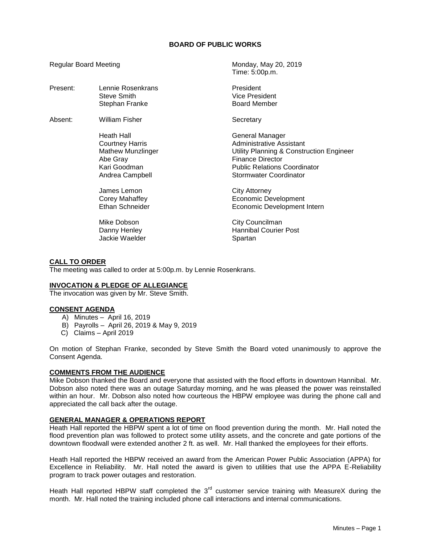### **BOARD OF PUBLIC WORKS**

Time: 5:00p.m.

Regular Board Meeting Monday, May 20, 2019

| Lennie Rosenkrans        | President                                |
|--------------------------|------------------------------------------|
| Steve Smith              | <b>Vice President</b>                    |
| Stephan Franke           | <b>Board Member</b>                      |
| William Fisher           | Secretary                                |
| Heath Hall               | General Manager                          |
| <b>Courtney Harris</b>   | Administrative Assistant                 |
| <b>Mathew Munzlinger</b> | Utility Planning & Construction Engineer |
| Abe Gray                 | Finance Director                         |
| Kari Goodman             | <b>Public Relations Coordinator</b>      |
| Andrea Campbell          | <b>Stormwater Coordinator</b>            |
| James Lemon              | City Attorney                            |
| Corey Mahaffey           | <b>Economic Development</b>              |
| Ethan Schneider          | Economic Development Intern              |
| Mike Dobson              | City Councilman                          |
| Danny Henley             | <b>Hannibal Courier Post</b>             |
| Jackie Waelder           | Spartan                                  |
|                          |                                          |

### **CALL TO ORDER**

The meeting was called to order at 5:00p.m. by Lennie Rosenkrans.

## **INVOCATION & PLEDGE OF ALLEGIANCE**

The invocation was given by Mr. Steve Smith.

## **CONSENT AGENDA**

- A) Minutes April 16, 2019
- B) Payrolls April 26, 2019 & May 9, 2019
- C) Claims April 2019

On motion of Stephan Franke, seconded by Steve Smith the Board voted unanimously to approve the Consent Agenda.

# **COMMENTS FROM THE AUDIENCE**

Mike Dobson thanked the Board and everyone that assisted with the flood efforts in downtown Hannibal. Mr. Dobson also noted there was an outage Saturday morning, and he was pleased the power was reinstalled within an hour. Mr. Dobson also noted how courteous the HBPW employee was during the phone call and appreciated the call back after the outage.

## **GENERAL MANAGER & OPERATIONS REPORT**

Heath Hall reported the HBPW spent a lot of time on flood prevention during the month. Mr. Hall noted the flood prevention plan was followed to protect some utility assets, and the concrete and gate portions of the downtown floodwall were extended another 2 ft. as well. Mr. Hall thanked the employees for their efforts.

Heath Hall reported the HBPW received an award from the American Power Public Association (APPA) for Excellence in Reliability. Mr. Hall noted the award is given to utilities that use the APPA E-Reliability program to track power outages and restoration.

Heath Hall reported HBPW staff completed the  $3<sup>rd</sup>$  customer service training with MeasureX during the month. Mr. Hall noted the training included phone call interactions and internal communications.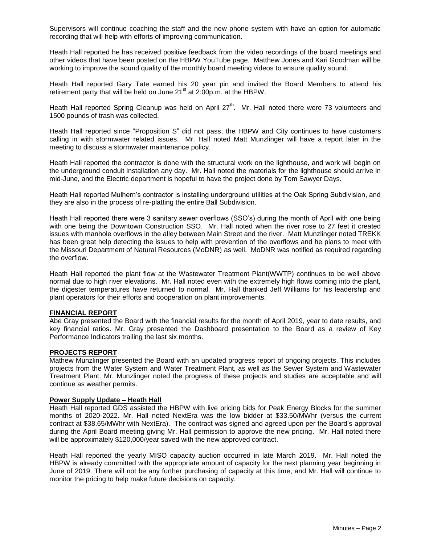Supervisors will continue coaching the staff and the new phone system with have an option for automatic recording that will help with efforts of improving communication.

Heath Hall reported he has received positive feedback from the video recordings of the board meetings and other videos that have been posted on the HBPW YouTube page. Matthew Jones and Kari Goodman will be working to improve the sound quality of the monthly board meeting videos to ensure quality sound.

Heath Hall reported Gary Tate earned his 20 year pin and invited the Board Members to attend his retirement party that will be held on June  $21<sup>st</sup>$  at  $2:00p.m.$  at the HBPW.

Heath Hall reported Spring Cleanup was held on April 27<sup>th</sup>. Mr. Hall noted there were 73 volunteers and 1500 pounds of trash was collected.

Heath Hall reported since "Proposition S" did not pass, the HBPW and City continues to have customers calling in with stormwater related issues. Mr. Hall noted Matt Munzlinger will have a report later in the meeting to discuss a stormwater maintenance policy.

Heath Hall reported the contractor is done with the structural work on the lighthouse, and work will begin on the underground conduit installation any day. Mr. Hall noted the materials for the lighthouse should arrive in mid-June, and the Electric department is hopeful to have the project done by Tom Sawyer Days.

Heath Hall reported Mulhern's contractor is installing underground utilities at the Oak Spring Subdivision, and they are also in the process of re-platting the entire Ball Subdivision.

Heath Hall reported there were 3 sanitary sewer overflows (SSO's) during the month of April with one being with one being the Downtown Construction SSO. Mr. Hall noted when the river rose to 27 feet it created issues with manhole overflows in the alley between Main Street and the river. Matt Munzlinger noted TREKK has been great help detecting the issues to help with prevention of the overflows and he plans to meet with the Missouri Department of Natural Resources (MoDNR) as well. MoDNR was notified as required regarding the overflow.

Heath Hall reported the plant flow at the Wastewater Treatment Plant(WWTP) continues to be well above normal due to high river elevations. Mr. Hall noted even with the extremely high flows coming into the plant, the digester temperatures have returned to normal. Mr. Hall thanked Jeff Williams for his leadership and plant operators for their efforts and cooperation on plant improvements.

#### **FINANCIAL REPORT**

Abe Gray presented the Board with the financial results for the month of April 2019, year to date results, and key financial ratios. Mr. Gray presented the Dashboard presentation to the Board as a review of Key Performance Indicators trailing the last six months.

## **PROJECTS REPORT**

Mathew Munzlinger presented the Board with an updated progress report of ongoing projects. This includes projects from the Water System and Water Treatment Plant, as well as the Sewer System and Wastewater Treatment Plant. Mr. Munzlinger noted the progress of these projects and studies are acceptable and will continue as weather permits.

## **Power Supply Update – Heath Hall**

Heath Hall reported GDS assisted the HBPW with live pricing bids for Peak Energy Blocks for the summer months of 2020-2022. Mr. Hall noted NextEra was the low bidder at \$33.50/MWhr (versus the current contract at \$38.65/MWhr with NextEra). The contract was signed and agreed upon per the Board's approval during the April Board meeting giving Mr. Hall permission to approve the new pricing. Mr. Hall noted there will be approximately \$120,000/year saved with the new approved contract.

Heath Hall reported the yearly MISO capacity auction occurred in late March 2019. Mr. Hall noted the HBPW is already committed with the appropriate amount of capacity for the next planning year beginning in June of 2019. There will not be any further purchasing of capacity at this time, and Mr. Hall will continue to monitor the pricing to help make future decisions on capacity.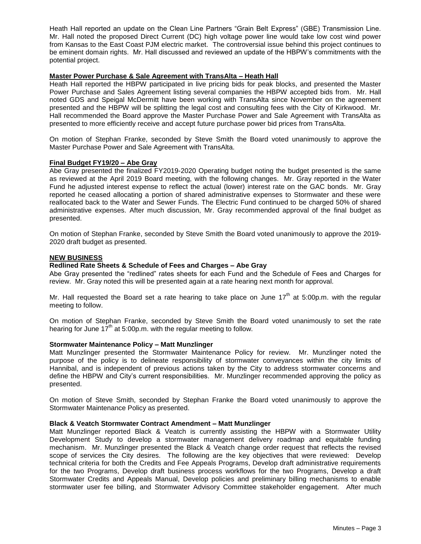Heath Hall reported an update on the Clean Line Partners "Grain Belt Express" (GBE) Transmission Line. Mr. Hall noted the proposed Direct Current (DC) high voltage power line would take low cost wind power from Kansas to the East Coast PJM electric market. The controversial issue behind this project continues to be eminent domain rights. Mr. Hall discussed and reviewed an update of the HBPW's commitments with the potential project.

## **Master Power Purchase & Sale Agreement with TransAlta – Heath Hall**

Heath Hall reported the HBPW participated in live pricing bids for peak blocks, and presented the Master Power Purchase and Sales Agreement listing several companies the HBPW accepted bids from. Mr. Hall noted GDS and Speigal McDermitt have been working with TransAlta since November on the agreement presented and the HBPW will be splitting the legal cost and consulting fees with the City of Kirkwood. Mr. Hall recommended the Board approve the Master Purchase Power and Sale Agreement with TransAlta as presented to more efficiently receive and accept future purchase power bid prices from TransAlta.

On motion of Stephan Franke, seconded by Steve Smith the Board voted unanimously to approve the Master Purchase Power and Sale Agreement with TransAlta.

#### **Final Budget FY19/20 – Abe Gray**

Abe Gray presented the finalized FY2019-2020 Operating budget noting the budget presented is the same as reviewed at the April 2019 Board meeting, with the following changes. Mr. Gray reported in the Water Fund he adjusted interest expense to reflect the actual (lower) interest rate on the GAC bonds. Mr. Gray reported he ceased allocating a portion of shared administrative expenses to Stormwater and these were reallocated back to the Water and Sewer Funds. The Electric Fund continued to be charged 50% of shared administrative expenses. After much discussion, Mr. Gray recommended approval of the final budget as presented.

On motion of Stephan Franke, seconded by Steve Smith the Board voted unanimously to approve the 2019- 2020 draft budget as presented.

### **NEW BUSINESS**

### **Redlined Rate Sheets & Schedule of Fees and Charges – Abe Gray**

Abe Gray presented the "redlined" rates sheets for each Fund and the Schedule of Fees and Charges for review. Mr. Gray noted this will be presented again at a rate hearing next month for approval.

Mr. Hall requested the Board set a rate hearing to take place on June  $17<sup>th</sup>$  at 5:00p.m. with the regular meeting to follow.

On motion of Stephan Franke, seconded by Steve Smith the Board voted unanimously to set the rate hearing for June  $17<sup>th</sup>$  at 5:00p.m. with the regular meeting to follow.

#### **Stormwater Maintenance Policy – Matt Munzlinger**

Matt Munzlinger presented the Stormwater Maintenance Policy for review. Mr. Munzlinger noted the purpose of the policy is to delineate responsibility of stormwater conveyances within the city limits of Hannibal, and is independent of previous actions taken by the City to address stormwater concerns and define the HBPW and City's current responsibilities. Mr. Munzlinger recommended approving the policy as presented.

On motion of Steve Smith, seconded by Stephan Franke the Board voted unanimously to approve the Stormwater Maintenance Policy as presented.

## **Black & Veatch Stormwater Contract Amendment – Matt Munzlinger**

Matt Munzlinger reported Black & Veatch is currently assisting the HBPW with a Stormwater Utility Development Study to develop a stormwater management delivery roadmap and equitable funding mechanism. Mr. Munzlinger presented the Black & Veatch change order request that reflects the revised scope of services the City desires. The following are the key objectives that were reviewed: Develop technical criteria for both the Credits and Fee Appeals Programs, Develop draft administrative requirements for the two Programs, Develop draft business process workflows for the two Programs, Develop a draft Stormwater Credits and Appeals Manual, Develop policies and preliminary billing mechanisms to enable stormwater user fee billing, and Stormwater Advisory Committee stakeholder engagement. After much